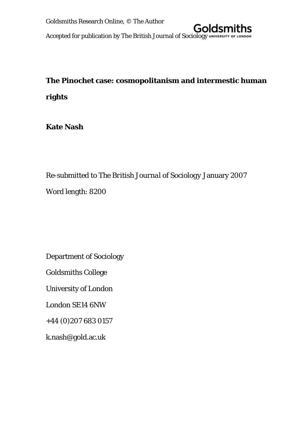

**Goldsmiths**<br>Accepted for publication by The British Journal of Sociology UNIVERSITY OF LONDON

# **The Pinochet case: cosmopolitanism and intermestic human**

**rights** 

**Kate Nash** 

Re-submitted to *The British Journal of Sociology* January 2007

Word length: 8200

Department of Sociology

Goldsmiths College

University of London

London SE14 6NW

+44 (0)207 683 0157

k.nash@gold.ac.uk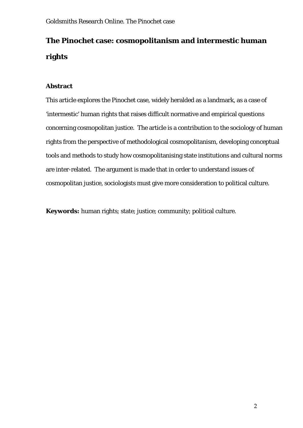# **The Pinochet case: cosmopolitanism and intermestic human rights**

# **Abstract**

This article explores the Pinochet case, widely heralded as a landmark, as a case of 'intermestic' human rights that raises difficult normative and empirical questions concerning cosmopolitan justice. The article is a contribution to the sociology of human rights from the perspective of methodological cosmopolitanism, developing conceptual tools and methods to study how cosmopolitanising state institutions and cultural norms are inter-related. The argument is made that in order to understand issues of cosmopolitan justice, sociologists must give more consideration to political culture.

**Keywords:** human rights; state; justice; community; political culture.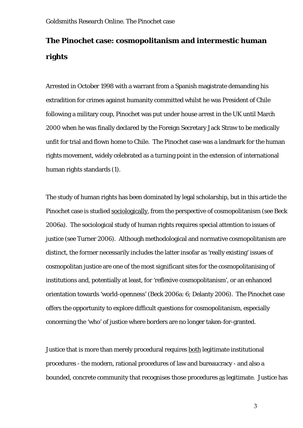# **The Pinochet case: cosmopolitanism and intermestic human rights**

Arrested in October 1998 with a warrant from a Spanish magistrate demanding his extradition for crimes against humanity committed whilst he was President of Chile following a military coup, Pinochet was put under house arrest in the UK until March 2000 when he was finally declared by the Foreign Secretary Jack Straw to be medically unfit for trial and flown home to Chile. The Pinochet case was a landmark for the human rights movement, widely celebrated as a turning point in the extension of international human rights standards (1).

The study of human rights has been dominated by legal scholarship, but in this article the Pinochet case is studied sociologically, from the perspective of cosmopolitanism (see Beck 2006a). The sociological study of human rights requires special attention to issues of justice (see Turner 2006). Although methodological and normative cosmopolitanism are distinct, the former necessarily includes the latter insofar as 'really existing' issues of cosmopolitan justice are one of the most significant sites for the cosmopolitanising of institutions and, potentially at least, for 'reflexive cosmopolitanism', or an enhanced orientation towards 'world-openness' (Beck 2006a: 6; Delanty 2006). The Pinochet case offers the opportunity to explore difficult questions for cosmopolitanism, especially concerning the 'who' of justice where borders are no longer taken-for-granted.

Justice that is more than merely procedural requires both legitimate institutional procedures - the modern, rational procedures of law and bureaucracy - and also a bounded, concrete community that recognises those procedures as legitimate. Justice has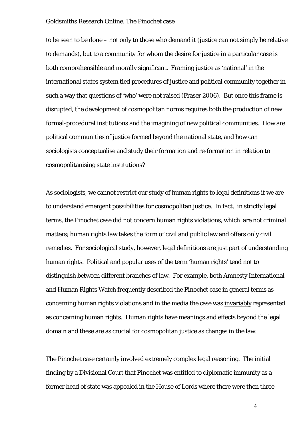to be seen to be done – not only to those who demand it (justice can not simply be relative to demands), but to a community for whom the desire for justice in a particular case is both comprehensible and morally significant. Framing justice as 'national' in the international states system tied procedures of justice and political community together in such a way that questions of 'who' were not raised (Fraser 2006). But once this frame is disrupted, the development of cosmopolitan norms requires both the production of new formal-procedural institutions and the imagining of new political communities. How are political communities of justice formed beyond the national state, and how can sociologists conceptualise and study their formation and re-formation in relation to cosmopolitanising state institutions?

As sociologists, we cannot restrict our study of human rights to legal definitions if we are to understand emergent possibilities for cosmopolitan justice. In fact, in strictly legal terms, the Pinochet case did not concern human rights violations, which are not criminal matters; human rights law takes the form of civil and public law and offers only civil remedies. For sociological study, however, legal definitions are just part of understanding human rights. Political and popular uses of the term 'human rights' tend not to distinguish between different branches of law. For example, both Amnesty International and Human Rights Watch frequently described the Pinochet case in general terms as concerning human rights violations and in the media the case was invariably represented as concerning human rights. Human rights have meanings and effects beyond the legal domain and these are as crucial for cosmopolitan justice as changes in the law.

The Pinochet case certainly involved extremely complex legal reasoning. The initial finding by a Divisional Court that Pinochet was entitled to diplomatic immunity as a former head of state was appealed in the House of Lords where there were then three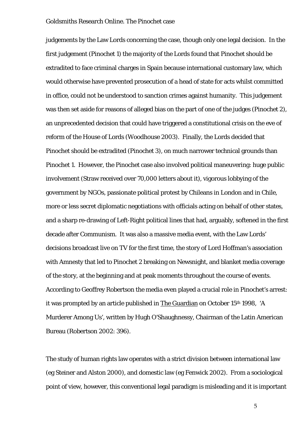judgements by the Law Lords concerning the case, though only one legal decision. In the first judgement (Pinochet 1) the majority of the Lords found that Pinochet should be extradited to face criminal charges in Spain because international customary law, which would otherwise have prevented prosecution of a head of state for acts whilst committed in office, could not be understood to sanction crimes against humanity. This judgement was then set aside for reasons of alleged bias on the part of one of the judges (Pinochet 2), an unprecedented decision that could have triggered a constitutional crisis on the eve of reform of the House of Lords (Woodhouse 2003). Finally, the Lords decided that Pinochet should be extradited (Pinochet 3), on much narrower technical grounds than Pinochet 1. However, the Pinochet case also involved political maneuvering: huge public involvement (Straw received over 70,000 letters about it), vigorous lobbying of the government by NGOs, passionate political protest by Chileans in London and in Chile, more or less secret diplomatic negotiations with officials acting on behalf of other states, and a sharp re-drawing of Left-Right political lines that had, arguably, softened in the first decade after Communism. It was also a massive media event, with the Law Lords' decisions broadcast live on TV for the first time, the story of Lord Hoffman's association with Amnesty that led to Pinochet 2 breaking on Newsnight, and blanket media coverage of the story, at the beginning and at peak moments throughout the course of events. According to Geoffrey Robertson the media even played a crucial role in Pinochet's arrest: it was prompted by an article published in The Guardian on October 15th 1998, 'A Murderer Among Us', written by Hugh O'Shaughnessy, Chairman of the Latin American Bureau (Robertson 2002: 396).

The study of human rights law operates with a strict division between international law (eg Steiner and Alston 2000), and domestic law (eg Fenwick 2002). From a sociological point of view, however, this conventional legal paradigm is misleading and it is important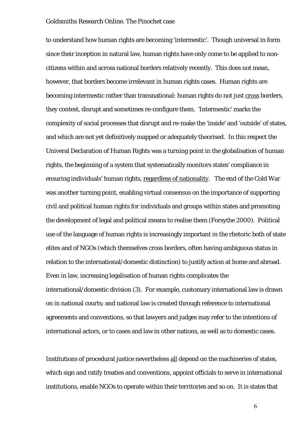to understand how human rights are becoming 'intermestic'. Though universal in form since their inception in natural law, human rights have only come to be applied to noncitizens within and across national borders relatively recently. This does not mean, however, that borders become irrelevant in human rights cases. Human rights are becoming intermestic rather than transnational: human rights do not just cross borders, they contest, disrupt and sometimes re-configure them. 'Intermestic' marks the complexity of social processes that disrupt and re-make the 'inside' and 'outside' of states, and which are not yet definitively mapped or adequately theorised. In this respect the Univeral Declaration of Human Rights was a turning point in the globalisation of human rights, the beginning of a system that systematically monitors states' compliance in ensuring individuals' human rights, regardless of nationality. The end of the Cold War was another turning point, enabling virtual consensus on the importance of supporting civil and political human rights for individuals and groups within states and promoting the development of legal and political means to realise them (Forsythe 2000). Political use of the language of human rights is increasingly important in the rhetoric both of state elites and of NGOs (which themselves cross borders, often having ambiguous status in relation to the international/domestic distinction) to justify action at home and abroad. Even in law, increasing legalisation of human rights complicates the international/domestic division (3). For example, customary international law is drawn on in national courts; and national law is created through reference to international agreements and conventions, so that lawyers and judges may refer to the intentions of international actors, or to cases and law in other nations, as well as to domestic cases.

Institutions of procedural justice nevertheless all depend on the machineries of states, which sign and ratify treaties and conventions, appoint officials to serve in international institutions, enable NGOs to operate within their territories and so on. It is states that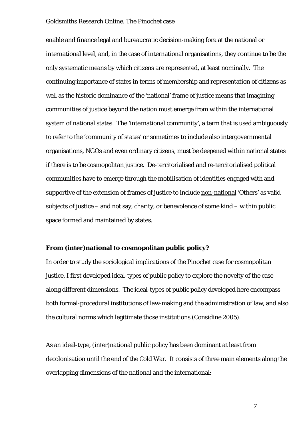enable and finance legal and bureaucratic decision-making fora at the national or international level, and, in the case of international organisations, they continue to be the only systematic means by which citizens are represented, at least nominally. The continuing importance of states in terms of membership and representation of citizens as well as the historic dominance of the 'national' frame of justice means that imagining communities of justice beyond the nation must emerge from within the international system of national states. The 'international community', a term that is used ambiguously to refer to the 'community of states' or sometimes to include also intergovernmental organisations, NGOs and even ordinary citizens, must be deepened within national states if there is to be cosmopolitan justice. De-territorialised and re-territorialised political communities have to emerge through the mobilisation of identities engaged with and supportive of the extension of frames of justice to include non-national 'Others' as valid subjects of justice – and not say, charity, or benevolence of some kind – within public space formed and maintained by states.

# **From (inter)national to cosmopolitan public policy?**

In order to study the sociological implications of the Pinochet case for cosmopolitan justice, I first developed ideal-types of public policy to explore the novelty of the case along different dimensions. The ideal-types of public policy developed here encompass both formal-procedural institutions of law-making and the administration of law, and also the cultural norms which legitimate those institutions (Considine 2005).

As an ideal-type, (inter)national public policy has been dominant at least from decolonisation until the end of the Cold War. It consists of three main elements along the overlapping dimensions of the national and the international: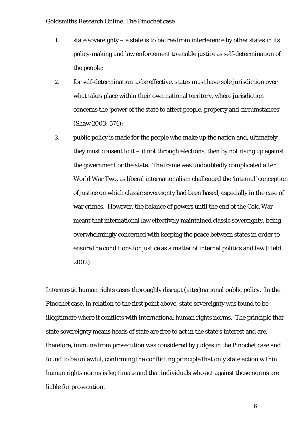- 1. state sovereignty a state is to be free from interference by other states in its policy-making and law enforcement to enable justice as self-determination of the people;
- 2. for self-determination to be effective, states must have sole jurisdiction over what takes place within their own national territory, where jurisdiction concerns the 'power of the state to affect people, property and circumstances' (Shaw 2003: 574);
- 3. public policy is made for the people who make up the nation and, ultimately, they must consent to it  $-$  if not through elections, then by not rising up against the government or the state. The frame was undoubtedly complicated after World War Two, as liberal internationalism challenged the 'internal' conception of justice on which classic sovereignty had been based, especially in the case of war crimes. However, the balance of powers until the end of the Cold War meant that international law effectively maintained classic sovereignty, being overwhelmingly concerned with keeping the peace between states in order to ensure the conditions for justice as a matter of internal politics and law (Held 2002).

Intermestic human rights cases thoroughly disrupt (inter)national public policy. In the Pinochet case, in relation to the first point above, state sovereignty was found to be illegitimate where it conflicts with international human rights norms. The principle that state sovereignty means heads of state are free to act in the state's interest and are, therefore, immune from prosecution was considered by judges in the Pinochet case and found to be unlawful, confirming the conflicting principle that only state action within human rights norms is legitimate and that individuals who act against those norms are liable for prosecution.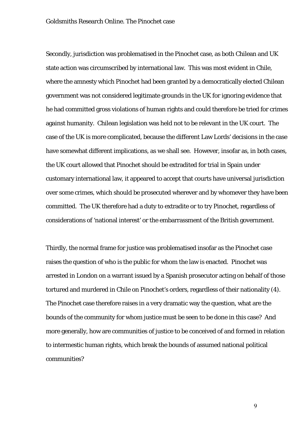Secondly, jurisdiction was problematised in the Pinochet case, as both Chilean and UK state action was circumscribed by international law. This was most evident in Chile, where the amnesty which Pinochet had been granted by a democratically elected Chilean government was not considered legitimate grounds in the UK for ignoring evidence that he had committed gross violations of human rights and could therefore be tried for crimes against humanity. Chilean legislation was held not to be relevant in the UK court. The case of the UK is more complicated, because the different Law Lords' decisions in the case have somewhat different implications, as we shall see. However, insofar as, in both cases, the UK court allowed that Pinochet should be extradited for trial in Spain under customary international law, it appeared to accept that courts have universal jurisdiction over some crimes, which should be prosecuted wherever and by whomever they have been committed. The UK therefore had a duty to extradite or to try Pinochet, regardless of considerations of 'national interest' or the embarrassment of the British government.

Thirdly, the normal frame for justice was problematised insofar as the Pinochet case raises the question of who is the public for whom the law is enacted. Pinochet was arrested in London on a warrant issued by a Spanish prosecutor acting on behalf of those tortured and murdered in Chile on Pinochet's orders, regardless of their nationality (4). The Pinochet case therefore raises in a very dramatic way the question, what are the bounds of the community for whom justice must be seen to be done in this case? And more generally, how are communities of justice to be conceived of and formed in relation to intermestic human rights, which break the bounds of assumed national political communities?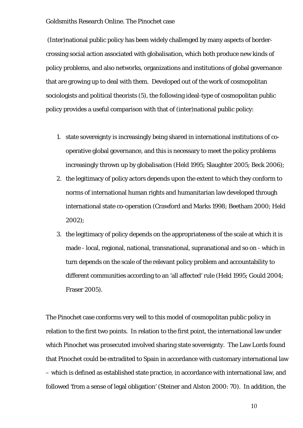(Inter)national public policy has been widely challenged by many aspects of bordercrossing social action associated with globalisation, which both produce new kinds of policy problems, and also networks, organizations and institutions of global governance that are growing up to deal with them. Developed out of the work of cosmopolitan sociologists and political theorists (5), the following ideal-type of cosmopolitan public policy provides a useful comparison with that of (inter)national public policy:

- 1. state sovereignty is increasingly being shared in international institutions of cooperative global governance, and this is necessary to meet the policy problems increasingly thrown up by globalisation (Held 1995; Slaughter 2005; Beck 2006);
- 2. the legitimacy of policy actors depends upon the extent to which they conform to norms of international human rights and humanitarian law developed through international state co-operation (Crawford and Marks 1998; Beetham 2000; Held 2002);
- 3. the legitimacy of policy depends on the appropriateness of the scale at which it is made - local, regional, national, transnational, supranational and so on - which in turn depends on the scale of the relevant policy problem and accountability to different communities according to an 'all affected' rule (Held 1995; Gould 2004; Fraser 2005).

The Pinochet case conforms very well to this model of cosmopolitan public policy in relation to the first two points. In relation to the first point, the international law under which Pinochet was prosecuted involved sharing state sovereignty. The Law Lords found that Pinochet could be extradited to Spain in accordance with customary international law – which is defined as established state practice, in accordance with international law, and followed 'from a sense of legal obligation' (Steiner and Alston 2000: 70). In addition, the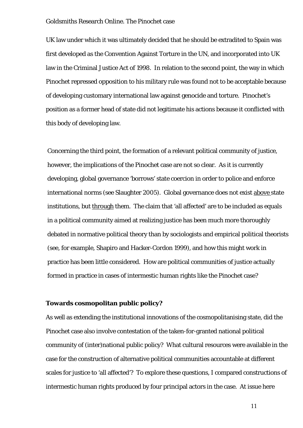UK law under which it was ultimately decided that he should be extradited to Spain was first developed as the Convention Against Torture in the UN, and incorporated into UK law in the Criminal Justice Act of 1998. In relation to the second point, the way in which Pinochet repressed opposition to his military rule was found not to be acceptable because of developing customary international law against genocide and torture. Pinochet's position as a former head of state did not legitimate his actions because it conflicted with this body of developing law.

Concerning the third point, the formation of a relevant political community of justice, however, the implications of the Pinochet case are not so clear. As it is currently developing, global governance 'borrows' state coercion in order to police and enforce international norms (see Slaughter 2005). Global governance does not exist above state institutions, but through them. The claim that 'all affected' are to be included as equals in a political community aimed at realizing justice has been much more thoroughly debated in normative political theory than by sociologists and empirical political theorists (see, for example, Shapiro and Hacker-Cordon 1999), and how this might work in practice has been little considered. How are political communities of justice actually formed in practice in cases of intermestic human rights like the Pinochet case?

# **Towards cosmopolitan public policy?**

As well as extending the institutional innovations of the cosmopolitanising state, did the Pinochet case also involve contestation of the taken-for-granted national political community of (inter)national public policy? What cultural resources were available in the case for the construction of alternative political communities accountable at different scales for justice to 'all affected'? To explore these questions, I compared constructions of intermestic human rights produced by four principal actors in the case. At issue here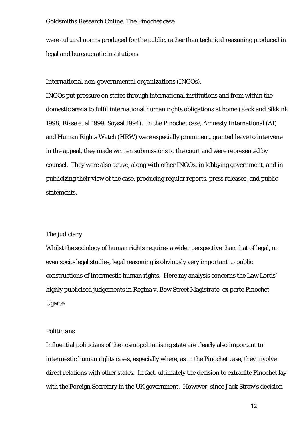were cultural norms produced for the public, rather than technical reasoning produced in legal and bureaucratic institutions.

#### *International non-governmental organizations* (INGOs).

INGOs put pressure on states through international institutions and from within the domestic arena to fulfil international human rights obligations at home (Keck and Sikkink 1998; Risse et al 1999; Soysal 1994). In the Pinochet case, Amnesty International (AI) and Human Rights Watch (HRW) were especially prominent, granted leave to intervene in the appeal, they made written submissions to the court and were represented by counsel. They were also active, along with other INGOs, in lobbying government, and in publicizing their view of the case, producing regular reports, press releases, and public statements.

#### *The judiciary*

Whilst the sociology of human rights requires a wider perspective than that of legal, or even socio-legal studies, legal reasoning is obviously very important to public constructions of intermestic human rights. Here my analysis concerns the Law Lords' highly publicised judgements in Regina v. Bow Street Magistrate, ex parte Pinochet Ugarte.

### *Politicians*

Influential politicians of the cosmopolitanising state are clearly also important to intermestic human rights cases, especially where, as in the Pinochet case, they involve direct relations with other states. In fact, ultimately the decision to extradite Pinochet lay with the Foreign Secretary in the UK government. However, since Jack Straw's decision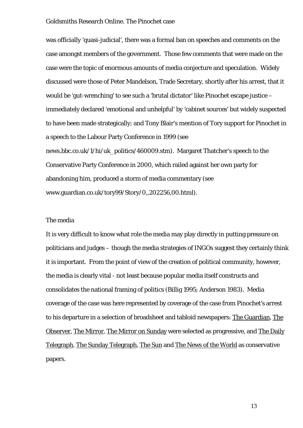was officially 'quasi-judicial', there was a formal ban on speeches and comments on the case amongst members of the government. Those few comments that were made on the case were the topic of enormous amounts of media conjecture and speculation. Widely discussed were those of Peter Mandelson, Trade Secretary, shortly after his arrest, that it would be 'gut-wrenching' to see such a 'brutal dictator' like Pinochet escape justice – immediately declared 'emotional and unhelpful' by 'cabinet sources' but widely suspected to have been made strategically; and Tony Blair's mention of Tory support for Pinochet in a speech to the Labour Party Conference in 1999 (see news.bbc.co.uk/1/hi/uk\_politics/460009.stm). Margaret Thatcher's speech to the Conservative Party Conference in 2000, which railed against her own party for abandoning him, produced a storm of media commentary (see www.guardian.co.uk/tory99/Story/0,,202256,00.html).

#### *The media*

It is very difficult to know what role the media may play directly in putting pressure on politicians and judges – though the media strategies of INGOs suggest they certainly think it is important. From the point of view of the creation of political community, however, the media is clearly vital - not least because popular media itself constructs and consolidates the national framing of politics (Billig 1995; Anderson 1983). Media coverage of the case was here represented by coverage of the case from Pinochet's arrest to his departure in a selection of broadsheet and tabloid newspapers: The Guardian, The Observer, The Mirror, The Mirror on Sunday were selected as progressive, and The Daily Telegraph, The Sunday Telegraph, The Sun and The News of the World as conservative papers.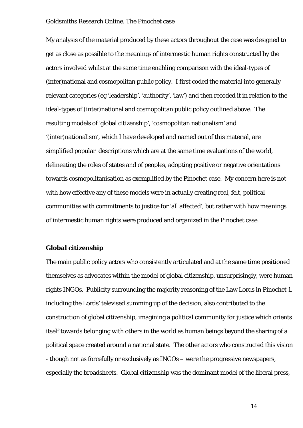My analysis of the material produced by these actors throughout the case was designed to get as close as possible to the meanings of intermestic human rights constructed by the actors involved whilst at the same time enabling comparison with the ideal-types of (inter)national and cosmopolitan public policy. I first coded the material into generally relevant categories (eg 'leadership', 'authority', 'law') and then recoded it in relation to the ideal-types of (inter)national and cosmopolitan public policy outlined above. The resulting models of 'global citizenship', 'cosmopolitan nationalism' and '(inter)nationalism', which I have developed and named out of this material, are simplified popular descriptions which are at the same time evaluations of the world, delineating the roles of states and of peoples, adopting positive or negative orientations towards cosmopolitanisation as exemplified by the Pinochet case. My concern here is not with how effective any of these models were in actually creating real, felt, political communities with commitments to justice for 'all affected', but rather with how meanings of intermestic human rights were produced and organized in the Pinochet case.

# *Global citizenship*

The main public policy actors who consistently articulated and at the same time positioned themselves as advocates within the model of global citizenship, unsurprisingly, were human rights INGOs. Publicity surrounding the majority reasoning of the Law Lords in Pinochet 1, including the Lords' televised summing up of the decision, also contributed to the construction of global citizenship, imagining a political community for justice which orients itself towards belonging with others in the world as human beings beyond the sharing of a political space created around a national state. The other actors who constructed this vision - though not as forcefully or exclusively as INGOs – were the progressive newspapers, especially the broadsheets. Global citizenship was the dominant model of the liberal press,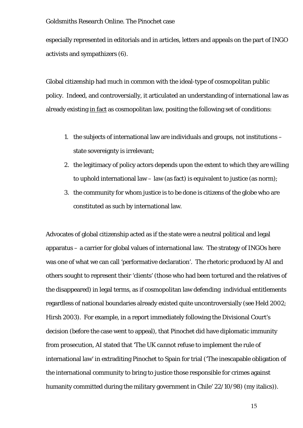especially represented in editorials and in articles, letters and appeals on the part of INGO activists and sympathizers (6).

Global citizenship had much in common with the ideal-type of cosmopolitan public policy. Indeed, and controversially, it articulated an understanding of international law as already existing in fact as cosmopolitan law, positing the following set of conditions:

- 1. the subjects of international law are individuals and groups, not institutions state sovereignty is irrelevant;
- 2. the legitimacy of policy actors depends upon the extent to which they are willing to uphold international law – law (as fact) is equivalent to justice (as norm);
- 3. the community for whom justice is to be done is citizens of the globe who are constituted as such by international law.

Advocates of global citizenship acted as if the state were a neutral political and legal apparatus – a carrier for global values of international law. The strategy of INGOs here was one of what we can call 'performative declaration'. The rhetoric produced by AI and others sought to represent their 'clients' (those who had been tortured and the relatives of the disappeared) in legal terms, as if cosmopolitan law defending individual entitlements regardless of national boundaries already existed quite uncontroversially (see Held 2002; Hirsh 2003). For example, in a report immediately following the Divisional Court's decision (before the case went to appeal), that Pinochet did have diplomatic immunity from prosecution, AI stated that 'The UK *cannot* refuse to implement the rule of international law' in extraditing Pinochet to Spain for trial ('The inescapable obligation of the international community to bring to justice those responsible for crimes against humanity committed during the military government in Chile' 22/10/98) (my italics)).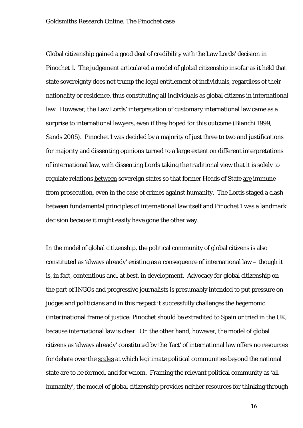Global citizenship gained a good deal of credibility with the Law Lords' decision in Pinochet 1. The judgement articulated a model of global citizenship insofar as it held that state sovereignty does not trump the legal entitlement of individuals, regardless of their nationality or residence, thus constituting all individuals as global citizens in international law. However, the Law Lords' interpretation of customary international law came as a surprise to international lawyers, even if they hoped for this outcome (Bianchi 1999; Sands 2005). Pinochet 1 was decided by a majority of just three to two and justifications for majority and dissenting opinions turned to a large extent on different interpretations of international law, with dissenting Lords taking the traditional view that it is solely to regulate relations between sovereign states so that former Heads of State are immune from prosecution, even in the case of crimes against humanity. The Lords staged a clash between fundamental principles of international law itself and Pinochet 1 was a landmark decision because it might easily have gone the other way.

In the model of global citizenship, the political community of global citizens is also constituted as 'always already' existing as a consequence of international law – though it is, in fact, contentious and, at best, in development. Advocacy for global citizenship on the part of INGOs and progressive journalists is presumably intended to put pressure on judges and politicians and in this respect it successfully challenges the hegemonic (inter)national frame of justice: Pinochet should be extradited to Spain or tried in the UK, because international law is clear. On the other hand, however, the model of global citizens as 'always already' constituted by the 'fact' of international law offers no resources for debate over the scales at which legitimate political communities beyond the national state are to be formed, and for whom. Framing the relevant political community as 'all humanity', the model of global citizenship provides neither resources for thinking through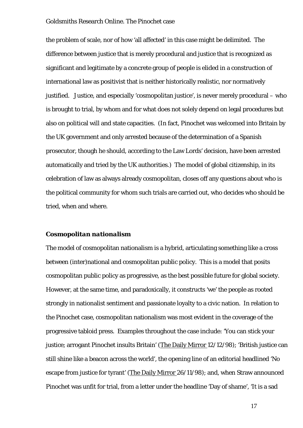the problem of scale, nor of how 'all affected' in this case might be delimited. The difference between justice that is merely procedural and justice that is recognized as significant and legitimate by a concrete group of people is elided in a construction of international law as positivist that is neither historically realistic, nor normatively justified. Justice, and especially 'cosmopolitan justice', is never merely procedural – who is brought to trial, by whom and for what does not solely depend on legal procedures but also on political will and state capacities. (In fact, Pinochet was welcomed into Britain by the UK government and only arrested because of the determination of a Spanish prosecutor, though he should, according to the Law Lords' decision, have been arrested automatically and tried by the UK authorities.) The model of global citizenship, in its celebration of law as always already cosmopolitan, closes off any questions about who is the political community for whom such trials are carried out, who decides who should be tried, when and where.

#### *Cosmopolitan nationalism*

The model of cosmopolitan nationalism is a hybrid, articulating something like a cross between (inter)national and cosmopolitan public policy. This is a model that posits cosmopolitan public policy as progressive, as the best possible future for global society. However, at the same time, and paradoxically, it constructs 'we' the people as rooted strongly in nationalist sentiment and passionate loyalty to a civic nation. In relation to the Pinochet case, cosmopolitan nationalism was most evident in the coverage of the progressive tabloid press. Examples throughout the case include: 'You can stick your justice; arrogant Pinochet insults Britain' (The Daily Mirror 12/12/98); 'British justice can still shine like a beacon across the world', the opening line of an editorial headlined 'No escape from justice for tyrant' (The Daily Mirror 26/11/98); and, when Straw announced Pinochet was unfit for trial, from a letter under the headline 'Day of shame', 'It is a sad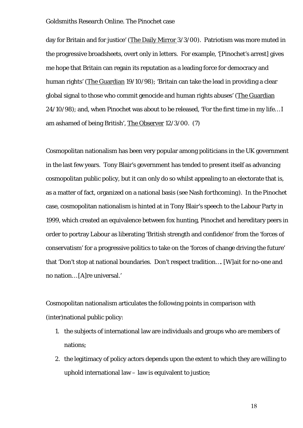day for Britain and for justice' (The Daily Mirror 3/3/00). Patriotism was more muted in the progressive broadsheets, overt only in letters. For example, '[Pinochet's arrest] gives me hope that Britain can regain its reputation as a leading force for democracy and human rights' (The Guardian 19/10/98); 'Britain can take the lead in providing a clear global signal to those who commit genocide and human rights abuses' (The Guardian 24/10/98); and, when Pinochet was about to be released, 'For the first time in my life… I am ashamed of being British', The Observer 12/3/00. (7)

Cosmopolitan nationalism has been very popular among politicians in the UK government in the last few years. Tony Blair's government has tended to present itself as advancing cosmopolitan public policy, but it can only do so whilst appealing to an electorate that is, as a matter of fact, organized on a national basis (see Nash *forthcoming*). In the Pinochet case, cosmopolitan nationalism is hinted at in Tony Blair's speech to the Labour Party in 1999, which created an equivalence between fox hunting, Pinochet and hereditary peers in order to portray Labour as liberating 'British strength and confidence' from the 'forces of conservatism' for a progressive politics to take on the 'forces of change driving the future' that 'Don't stop at national boundaries. Don't respect tradition…. [W]ait for no-one and no nation… [A]re universal.'

Cosmopolitan nationalism articulates the following points in comparison with (inter)national public policy:

- 1. the subjects of international law are individuals and groups who are members of nations;
- 2. the legitimacy of policy actors depends upon the extent to which they are willing to uphold international law – law is equivalent to justice;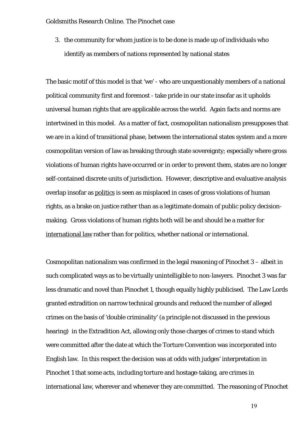3. the community for whom justice is to be done is made up of individuals who identify as members of nations represented by national states

The basic motif of this model is that 'we' - who are unquestionably members of a national political community first and foremost - take pride in our state insofar as it upholds universal human rights that are applicable across the world. Again facts and norms are intertwined in this model. As a matter of fact, cosmopolitan nationalism presupposes that we are in a kind of transitional phase, between the international states system and a more cosmopolitan version of law as breaking through state sovereignty; especially where gross violations of human rights have occurred or in order to prevent them, states are no longer self-contained discrete units of jurisdiction. However, descriptive and evaluative analysis overlap insofar as politics is seen as misplaced in cases of gross violations of human rights, as a brake on justice rather than as a legitimate domain of public policy decisionmaking. Gross violations of human rights both will be and should be a matter for international law rather than for politics, whether national or international.

Cosmopolitan nationalism was confirmed in the legal reasoning of Pinochet 3 – albeit in such complicated ways as to be virtually unintelligible to non-lawyers. Pinochet 3 was far less dramatic and novel than Pinochet 1, though equally highly publicised. The Law Lords granted extradition on narrow technical grounds and reduced the number of alleged crimes on the basis of 'double criminality' (a principle not discussed in the previous hearing) in the Extradition Act, allowing only those charges of crimes to stand which were committed after the date at which the Torture Convention was incorporated into English law. In this respect the decision was at odds with judges' interpretation in Pinochet 1 that some acts, including torture and hostage-taking, are crimes in international law, wherever and whenever they are committed. The reasoning of Pinochet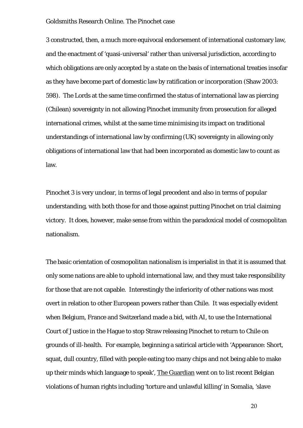3 constructed, then, a much more equivocal endorsement of international customary law, and the enactment of 'quasi-universal' rather than universal jurisdiction, according to which obligations are only accepted by a state on the basis of international treaties insofar as they have become part of domestic law by ratification or incorporation (Shaw 2003: 598). The Lords at the same time confirmed the status of international law as piercing (Chilean) sovereignty in not allowing Pinochet immunity from prosecution for alleged international crimes, whilst at the same time minimising its impact on traditional understandings of international law by confirming (UK) sovereignty in allowing only obligations of international law that had been incorporated as domestic law to count as law.

Pinochet 3 is very unclear, in terms of legal precedent and also in terms of popular understanding, with both those for and those against putting Pinochet on trial claiming victory. It does, however, make sense from within the paradoxical model of cosmopolitan nationalism.

The basic orientation of cosmopolitan nationalism is imperialist in that it is assumed that only some nations are able to uphold international law, and they must take responsibility for those that are not capable. Interestingly the inferiority of other nations was most overt in relation to other European powers rather than Chile. It was especially evident when Belgium, France and Switzerland made a bid, with AI, to use the International Court of Justice in the Hague to stop Straw releasing Pinochet to return to Chile on grounds of ill-health. For example, beginning a satirical article with 'Appearance: Short, squat, dull country, filled with people eating too many chips and not being able to make up their minds which language to speak', The Guardian went on to list recent Belgian violations of human rights including 'torture and unlawful killing' in Somalia, 'slave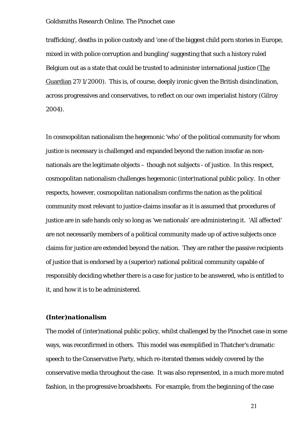trafficking', deaths in police custody and 'one of the biggest child porn stories in Europe, mixed in with police corruption and bungling' suggesting that such a history ruled Belgium out as a state that could be trusted to administer international justice (The Guardian 27/1/2000). This is, of course, deeply ironic given the British disinclination, across progressives and conservatives, to reflect on our own imperialist history (Gilroy 2004).

In cosmopolitan nationalism the hegemonic 'who' of the political community for whom justice is necessary is challenged and expanded beyond the nation insofar as nonnationals are the legitimate objects – though not subjects - of justice. In this respect, cosmopolitan nationalism challenges hegemonic (inter)national public policy. In other respects, however, cosmopolitan nationalism confirms the nation as the political community most relevant to justice-claims insofar as it is assumed that procedures of justice are in safe hands only so long as 'we nationals' are administering it. 'All affected' are not necessarily members of a political community made up of active subjects once claims for justice are extended beyond the nation. They are rather the passive recipients of justice that is endorsed by a (superior) national political community capable of responsibly deciding whether there is a case for justice to be answered, who is entitled to it, and how it is to be administered.

# *(Inter)nationalism*

The model of (inter)national public policy, whilst challenged by the Pinochet case in some ways, was reconfirmed in others. This model was exemplified in Thatcher's dramatic speech to the Conservative Party, which re-iterated themes widely covered by the conservative media throughout the case. It was also represented, in a much more muted fashion, in the progressive broadsheets. For example, from the beginning of the case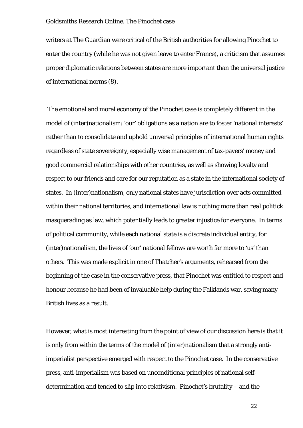writers at The Guardian were critical of the British authorities for allowing Pinochet to enter the country (while he was not given leave to enter France), a criticism that assumes proper diplomatic relations between states are more important than the universal justice of international norms (8).

 The emotional and moral economy of the Pinochet case is completely different in the model of (inter)nationalism: 'our' obligations as a nation are to foster 'national interests' rather than to consolidate and uphold universal principles of international human rights regardless of state sovereignty, especially wise management of tax-payers' money and good commercial relationships with other countries, as well as showing loyalty and respect to our friends and care for our reputation as a state in the international society of states. In (inter)nationalism, only national states have jurisdiction over acts committed within their national territories, and international law is nothing more than *real politick* masquerading as law, which potentially leads to greater injustice for everyone. In terms of political community, while each national state is a discrete individual entity, for (inter)nationalism, the lives of 'our' national fellows are worth far more to 'us' than others. This was made explicit in one of Thatcher's arguments, rehearsed from the beginning of the case in the conservative press, that Pinochet was entitled to respect and honour because he had been of invaluable help during the Falklands war, saving many British lives as a result.

However, what is most interesting from the point of view of our discussion here is that it is only from within the terms of the model of (inter)nationalism that a strongly antiimperialist perspective emerged with respect to the Pinochet case. In the conservative press, anti-imperialism was based on unconditional principles of national selfdetermination and tended to slip into relativism. Pinochet's brutality – and the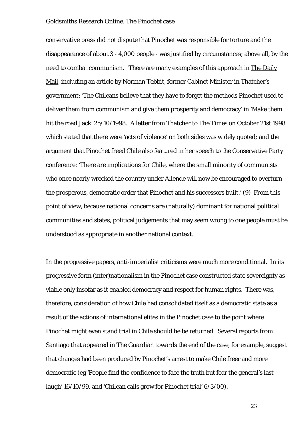conservative press did not dispute that Pinochet was responsible for torture and the disappearance of about 3 - 4,000 people - was justified by circumstances; above all, by the need to combat communism. There are many examples of this approach in The Daily Mail, including an article by Norman Tebbit, former Cabinet Minister in Thatcher's government: 'The Chileans believe that they have to forget the methods Pinochet used to deliver them from communism and give them prosperity and democracy' in 'Make them hit the road Jack' 25/10/1998. A letter from Thatcher to The Times on October 21st 1998 which stated that there were 'acts of violence' on both sides was widely quoted; and the argument that Pinochet freed Chile also featured in her speech to the Conservative Party conference: 'There are implications for Chile, where the small minority of communists who once nearly wrecked the country under Allende will now be encouraged to overturn the prosperous, democratic order that Pinochet and his successors built.' (9) From this point of view, because national concerns are (naturally) dominant for national political communities and states, political judgements that may seem wrong to one people must be understood as appropriate in another national context.

In the progressive papers, anti-imperialist criticisms were much more conditional. In its progressive form (inter)nationalism in the Pinochet case constructed state sovereignty as viable only insofar as it enabled democracy and respect for human rights. There was, therefore, consideration of how Chile had consolidated itself as a democratic state as a result of the actions of international elites in the Pinochet case to the point where Pinochet might even stand trial in Chile should he be returned. Several reports from Santiago that appeared in The Guardian towards the end of the case, for example, suggest that changes had been produced by Pinochet's arrest to make Chile freer and more democratic (eg 'People find the confidence to face the truth but fear the general's last laugh' 16/10/99, and 'Chilean calls grow for Pinochet trial' 6/3/00).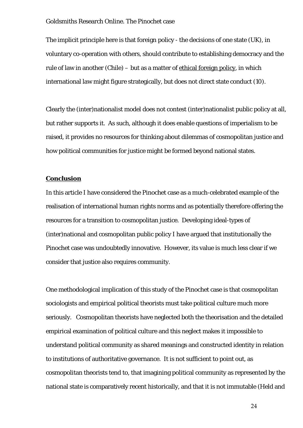The implicit principle here is that foreign policy - the decisions of one state (UK), in voluntary co-operation with others, should contribute to establishing democracy and the rule of law in another (Chile) – but as a matter of ethical foreign policy, in which international law might figure strategically, but does not direct state conduct (10).

Clearly the (inter)nationalist model does not contest (inter)nationalist public policy at all, but rather supports it. As such, although it does enable questions of imperialism to be raised, it provides no resources for thinking about dilemmas of cosmopolitan justice and how political communities for justice might be formed beyond national states.

#### **Conclusion**

In this article I have considered the Pinochet case as a much-celebrated example of the realisation of international human rights norms and as potentially therefore offering the resources for a transition to cosmopolitan justice. Developing ideal-types of (inter)national and cosmopolitan public policy I have argued that institutionally the Pinochet case was undoubtedly innovative. However, its value is much less clear if we consider that justice also requires community.

One methodological implication of this study of the Pinochet case is that cosmopolitan sociologists and empirical political theorists must take political culture much more seriously. Cosmopolitan theorists have neglected both the theorisation and the detailed empirical examination of political culture and this neglect makes it impossible to understand political community as shared meanings and constructed identity in relation to institutions of authoritative governance. It is not sufficient to point out, as cosmopolitan theorists tend to, that imagining political community as represented by the national state is comparatively recent historically, and that it is not immutable (Held and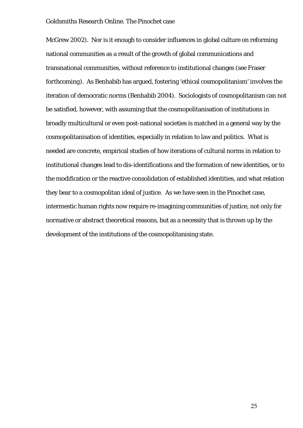McGrew 2002). Nor is it enough to consider influences in global culture on reforming national communities as a result of the growth of global communications and transnational communities, without reference to institutional changes (see Fraser *forthcoming*). As Benhabib has argued, fostering 'ethical cosmopolitanism' involves the iteration of democratic norms (Benhabib 2004). Sociologists of cosmopolitanism can not be satisfied, however, with assuming that the cosmopolitanisation of institutions in broadly multicultural or even post-national societies is matched in a general way by the cosmopolitanisation of identities, especially in relation to law and politics. What is needed are concrete, empirical studies of how iterations of cultural norms in relation to institutional changes lead to dis-identifications and the formation of new identities, or to the modification or the reactive consolidation of established identities, and what relation they bear to a cosmopolitan ideal of justice. As we have seen in the Pinochet case, intermestic human rights now require re-imagining communities of justice, not only for normative or abstract theoretical reasons, but as a necessity that is thrown up by the development of the institutions of the cosmopolitanising state.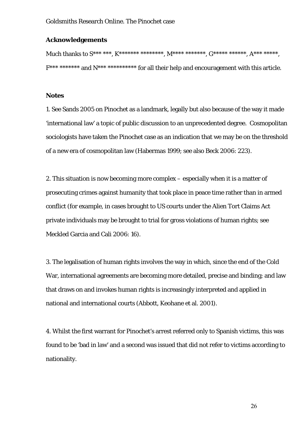### **Acknowledgements**

Much thanks to S\*\*\* \*\*\*, K\*\*\*\*\*\*\* \*\*\*\*\*\*\*\*, M\*\*\*\* \*\*\*\*\*\*, G\*\*\*\*\* \*\*\*\*\*\*, A\*\*\* \*\*\*\*\*. F\*\*\* \*\*\*\*\*\*\* and N\*\*\* \*\*\*\*\*\*\*\*\*\* for all their help and encouragement with this article.

#### **Notes**

1. See Sands 2005 on Pinochet as a landmark, legally but also because of the way it made 'international law' a topic of public discussion to an unprecedented degree. Cosmopolitan sociologists have taken the Pinochet case as an indication that we may be on the threshold of a new era of cosmopolitan law (Habermas 1999; see also Beck 2006: 223).

2. This situation is now becoming more complex – especially when it is a matter of prosecuting crimes against humanity that took place in peace time rather than in armed conflict (for example, in cases brought to US courts under the Alien Tort Claims Act private individuals may be brought to trial for gross violations of human rights; see Meckled Garcia and Cali 2006: 16).

3. The legalisation of human rights involves the way in which, since the end of the Cold War, international agreements are becoming more detailed, precise and binding; and law that draws on and invokes human rights is increasingly interpreted and applied in national and international courts (Abbott, Keohane et al. 2001).

4. Whilst the first warrant for Pinochet's arrest referred only to Spanish victims, this was found to be 'bad in law' and a second was issued that did not refer to victims according to nationality.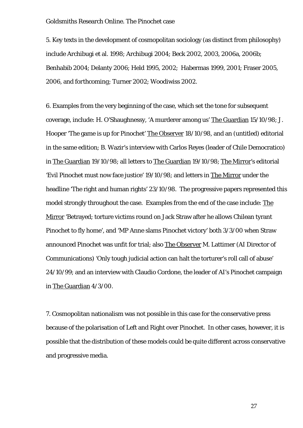5. Key texts in the development of cosmopolitan sociology (as distinct from philosophy) include Archibugi et al. 1998; Archibugi 2004; Beck 2002, 2003, 2006a, 2006b; Benhabib 2004; Delanty 2006; Held 1995, 2002; Habermas 1999, 2001; Fraser 2005, 2006, and *forthcoming*; Turner 2002; Woodiwiss 2002.

6. Examples from the very beginning of the case, which set the tone for subsequent coverage, include: H. O'Shaughnessy, 'A murderer among us' The Guardian 15/10/98; J. Hooper 'The game is up for Pinochet' The Observer 18/10/98, and an (untitled) editorial in the same edition; B. Wazir's interview with Carlos Reyes (leader of Chile Democratico) in The Guardian 19/10/98; all letters to The Guardian 19/10/98; The Mirror's editorial 'Evil Pinochet must now face justice' 19/10/98; and letters in The Mirror under the headline 'The right and human rights' 23/10/98. The progressive papers represented this model strongly throughout the case. Examples from the end of the case include: The Mirror 'Betrayed; torture victims round on Jack Straw after he allows Chilean tyrant Pinochet to fly home', and 'MP Anne slams Pinochet victory' both 3/3/00 when Straw announced Pinochet was unfit for trial; also The Observer M. Lattimer (AI Director of Communications) 'Only tough judicial action can halt the torturer's roll call of abuse' 24/10/99; and an interview with Claudio Cordone, the leader of AI's Pinochet campaign in The Guardian 4/3/00.

7. Cosmopolitan nationalism was not possible in this case for the conservative press because of the polarisation of Left and Right over Pinochet. In other cases, however, it is possible that the distribution of these models could be quite different across conservative and progressive media.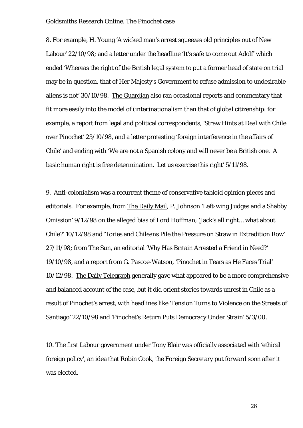8. For example, H. Young 'A wicked man's arrest squeezes old principles out of New Labour' 22/10/98; and a letter under the headline 'It's safe to come out Adolf' which ended 'Whereas the right of the British legal system to put a former head of state on trial may be in question, that of Her Majesty's Government to refuse admission to undesirable aliens is not' 30/10/98. The Guardian also ran occasional reports and commentary that fit more easily into the model of (inter)nationalism than that of global citizenship: for example, a report from legal and political correspondents, 'Straw Hints at Deal with Chile over Pinochet' 23/10/98, and a letter protesting 'foreign interference in the affairs of Chile' and ending with 'We are not a Spanish colony and will never be a British one. A basic human right is free determination. Let us exercise this right' 5/11/98.

9. Anti-colonialism was a recurrent theme of conservative tabloid opinion pieces and editorials. For example, from The Daily Mail, P. Johnson 'Left-wing Judges and a Shabby Omission' 9/12/98 on the alleged bias of Lord Hoffman; 'Jack's all right… what about Chile?' 10/12/98 and 'Tories and Chileans Pile the Pressure on Straw in Extradition Row' 27/11/98; from The Sun, an editorial 'Why Has Britain Arrested a Friend in Need?' 19/10/98, and a report from G. Pascoe-Watson, 'Pinochet in Tears as He Faces Trial' 10/12/98. The Daily Telegraph generally gave what appeared to be a more comprehensive and balanced account of the case, but it did orient stories towards unrest in Chile as a result of Pinochet's arrest, with headlines like 'Tension Turns to Violence on the Streets of Santiago' 22/10/98 and 'Pinochet's Return Puts Democracy Under Strain' 5/3/00.

10. The first Labour government under Tony Blair was officially associated with 'ethical foreign policy', an idea that Robin Cook, the Foreign Secretary put forward soon after it was elected.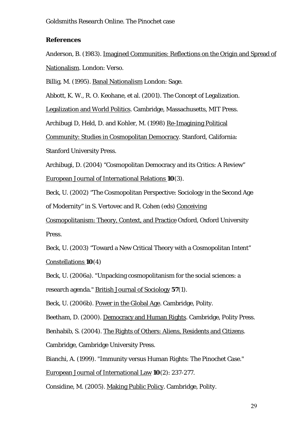# **References**

Anderson, B. (1983). Imagined Communities: Reflections on the Origin and Spread of Nationalism*.* London: Verso.

Billig, M. (1995). Banal Nationalism London: Sage.

Abbott, K. W., R. O. Keohane, et al. (2001). The Concept of Legalization.

Legalization and World Politics. Cambridge, Massachusetts, MIT Press.

Archibugi D, Held, D. and Kohler, M. (1998) Re-Imagining Political

Community: Studies in Cosmopolitan Democracy. Stanford, California:

Stanford University Press.

Archibugi, D. (2004) "Cosmopolitan Democracy and its Critics: A Review"

European Journal of International Relations **10**(3).

Beck, U. (2002) "The Cosmopolitan Perspective: Sociology in the Second Age

of Modernity" in S. Vertovec and R. Cohen (eds) Conceiving

Cosmopolitanism: Theory, Context, and Practice Oxford, Oxford University Press.

Beck, U. (2003) "Toward a New Critical Theory with a Cosmopolitan Intent" Constellations **10**(4)

Beck, U. (2006a). "Unpacking cosmopolitanism for the social sciences: a research agenda." British Journal of Sociology **57**(1).

Beck, U. (2006b). Power in the Global Age. Cambridge, Polity.

Beetham, D. (2000). Democracy and Human Rights. Cambridge, Polity Press.

Benhabib, S. (2004). The Rights of Others: Aliens, Residents and Citizens.

Cambridge, Cambridge University Press.

Bianchi, A. (1999). "Immunity versus Human Rights: The Pinochet Case."

European Journal of International Law **10**(2): 237-277.

Considine, M. (2005). Making Public Policy. Cambridge, Polity.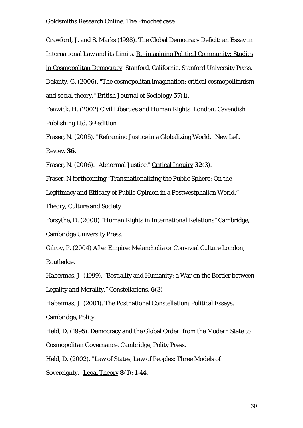Crawford, J. and S. Marks (1998). The Global Democracy Deficit: an Essay in International Law and its Limits. Re-imagining Political Community: Studies in Cosmopolitan Democracy. Stanford, California, Stanford University Press. Delanty, G. (2006). "The cosmopolitan imagination: critical cosmopolitanism and social theory." British Journal of Sociology **57**(1).

Fenwick, H. (2002) Civil Liberties and Human Rights. London, Cavendish Publishing Ltd. 3rd edition

Fraser, N. (2005). "Reframing Justice in a Globalizing World." New Left Review **36**.

Fraser, N. (2006). "Abnormal Justice." Critical Inquiry **32**(3).

Fraser, N *forthcoming* "Transnationalizing the Public Sphere: On the

Legitimacy and Efficacy of Public Opinion in a Postwestphalian World."

Theory, Culture and Society

Forsythe, D. (2000) "Human Rights in International Relations" Cambridge, Cambridge University Press.

Gilroy, P. (2004) After Empire: Melancholia or Convivial Culture London, Routledge.

Habermas, J. (1999). "Bestiality and Humanity: a War on the Border between Legality and Morality." Constellations. **6**(3)

Habermas, J. (2001). The Postnational Constellation: Political Essays.

Cambridge, Polity.

Held, D. (1995). Democracy and the Global Order: from the Modern State to Cosmopolitan Governance. Cambridge, Polity Press.

Held, D. (2002). "Law of States, Law of Peoples: Three Models of

Sovereignty." Legal Theory **8**(1): 1-44.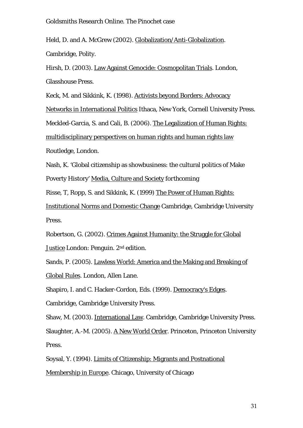Held, D. and A. McGrew (2002). Globalization/Anti-Globalization. Cambridge, Polity.

Hirsh, D. (2003). Law Against Genocide: Cosmopolitan Trials. London, Glasshouse Press.

Keck, M. and Sikkink, K. (1998). Activists beyond Borders: Advocacy Networks in International Politics Ithaca, New York, Cornell University Press. Meckled-Garcia, S. and Cali, B. (2006). The Legalization of Human Rights: multidisciplinary perspectives on human rights and human rights law Routledge, London.

Nash, K. 'Global citizenship as showbusiness: the cultural politics of Make Poverty History' Media, Culture and Society *forthcoming*

Risse, T, Ropp, S. and Sikkink, K. (1999) The Power of Human Rights:

Institutional Norms and Domestic Change Cambridge, Cambridge University Press.

Robertson, G. (2002). Crimes Against Humanity: the Struggle for Global Justice London: Penguin. 2nd edition.

Sands, P. (2005). Lawless World: America and the Making and Breaking of Global Rules. London, Allen Lane.

Shapiro, I. and C. Hacker-Cordon, Eds. (1999). Democracy's Edges. Cambridge, Cambridge University Press.

Shaw, M. (2003). International Law. Cambridge, Cambridge University Press. Slaughter, A.-M. (2005). A New World Order. Princeton, Princeton University Press.

Soysal, Y. (1994). Limits of Citizenship: Migrants and Postnational Membership in Europe. Chicago, University of Chicago